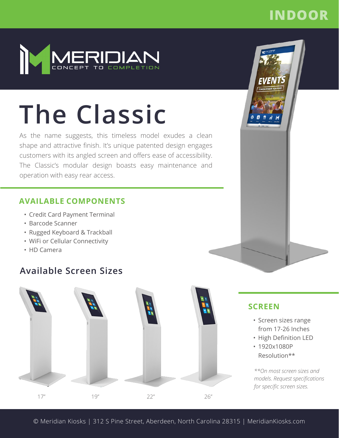# **INDOOR**



# **The Classic**

As the name suggests, this timeless model exudes a clean shape and attractive finish. It's unique patented design engages customers with its angled screen and offers ease of accessibility. The Classic's modular design boasts easy maintenance and operation with easy rear access.

#### **AVAILABLE COMPONENTS**

- Credit Card Payment Terminal
- Barcode Scanner
- Rugged Keyboard & Trackball
- WiFi or Cellular Connectivity
- HD Camera

## **Available Screen Sizes**





**SCREEN**

• Screen sizes range from 17-26 Inches • High Definition LED

*\*\*On most screen sizes and models. Request specifications* 

*for specific screen sizes.*

• 1920x1080P Resolution\*\*